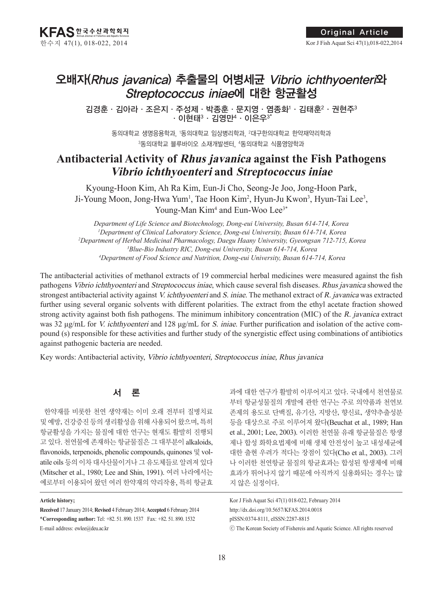# 오배자(Rhus javanica) 추출물의 어병세균 Vibrio ichthyoenteri와 Streptococcus iniae에 대한 항균활성

김경훈·김아라·조은지·주성제·박종훈·문지영·염종화·김태훈<sup>2</sup>·권현주<sup>3</sup>  $\cdot$  이현태 $^3 \cdot 799$ 만  $\cdot$  이은우 $^3$ 

동의대학교 생명응용학과, 1 동의대학교 임상병리학과, 2대구한의대학교 한약재약리학과 3동의대학교 블루바이오 소재개발센터, 4동의대학교 식품영양학과

# **Antibacterial Activity of Rhus javanica against the Fish Pathogens Vibrio ichthyoenteri and Streptococcus iniae**

Kyoung-Hoon Kim, Ah Ra Kim, Eun-Ji Cho, Seong-Je Joo, Jong-Hoon Park, Ji-Young Moon, Jong-Hwa Yum<sup>1</sup>, Tae Hoon Kim<sup>2</sup>, Hyun-Ju Kwon<sup>3</sup>, Hyun-Tai Lee<sup>3</sup>, Young-Man Kim<sup>4</sup> and Eun-Woo Lee<sup>3\*</sup>

*Department of Life Science and Biotechnology, Dong-eui University, Busan 614-714, Korea Department of Clinical Laboratory Science, Dong-eui University, Busan 614-714, Korea Department of Herbal Medicinal Pharmacology, Daegu Haany University, Gyeongsan 712-715, Korea Blue-Bio Industry RIC, Dong-eui University, Busan 614-714, Korea Department of Food Science and Nutrition, Dong-eui University, Busan 614-714, Korea*

The antibacterial activities of methanol extracts of 19 commercial herbal medicines were measured against the fish pathogens Vibrio ichthyoenteri and Streptococcus iniae, which cause several fish diseases. Rhus javanica showed the strongest antibacterial activity against V. ichthyoenteri and S. iniae. The methanol extract of R. javanica was extracted further using several organic solvents with different polarities. The extract from the ethyl acetate fraction showed strong activity against both fish pathogens. The minimum inhibitory concentration (MIC) of the R. javanica extract was 32 μg/mL for V. ichthyoenteri and 128 μg/mL for S. iniae. Further purification and isolation of the active compound (s) responsible for these activities and further study of the synergistic effect using combinations of antibiotics against pathogenic bacteria are needed.

Key words: Antibacterial activity, Vibrio ichthyoenteri, Streptococcus iniae, Rhus javanica

# 서 론

한약재를 비롯한 천연 생약재는 이미 오래 전부터 질병치료 및 예방, 건강증진 등의 생리활성을 위해 사용되어 왔으며, 특히 항균활성을 가지는 물질에 대한 연구는 현재도 활발히 진행되 고 있다. 천연물에 존재하는 항균물질은 그 대부분이 alkaloids, flavonoids, terpenoids, phenolic compounds, quinones 및 volatile oils 등의 이차 대사산물이거나 그 유도체들로 알려져 있다 (Mitscher et al., 1980; Lee and Shin, 1991). 여러 나라에서는 예로부터 이용되어 왔던 여러 한약재의 약리작용, 특히 항균효 과에 대한 연구가 활발히 이루어지고 있다. 국내에서 천연물로 부터 항균성물질의 개발에 관한 연구는 주로 의약품과 천연보 존제의 용도로 단백질, 유기산, 지방산, 향신료, 생약추출성분 등을 대상으로 주로 이루어져 왔다(Beuchat et al., 1989; Han et al., 2001; Lee, 2003). 이러한 천연물 유래 항균물질은 항생 제나 합성 화학요법제에 비해 생체 안전성이 높고 내성세균에 대한 출현 우려가 적다는 장점이 있다(Cho et al., 2003). 그러 나 이러한 천연항균 물질의 항균효과는 합성된 항생제에 비해 효과가 뛰어나지 않기 때문에 아직까지 실용화되는 경우는 많 지 않은 실정이다.

### Kor J Fish Aquat Sci 47(1) 018-022, February 2014 http://dx.doi.org/10.5657/KFAS.2014.0018 pISSN:0374-8111, eISSN:2287-8815 ⓒ The Korean Society of Fishereis and Aquatic Science. All rights reserved

#### **Article history;**

**Received** 17 January 2014; **Revised** 4 February 2014; **Accepted** 6 February 2014 \***Corresponding author:** Tel: +82. 51. 890. 1537 Fax: +82. 51. 890. 1532 E-mail address: ewlee@deu.ac.kr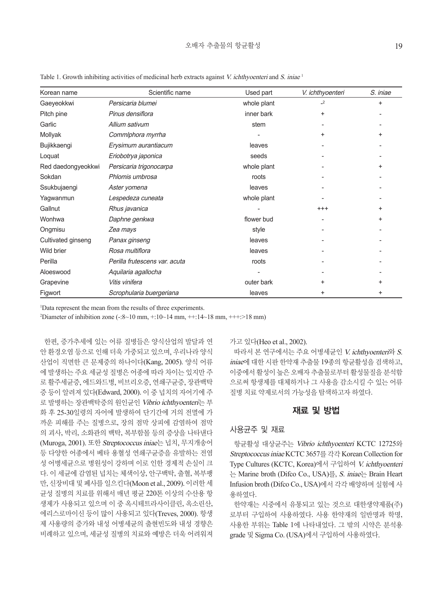| Korean name        | Scientific name               | Used part   | V. ichthyoenteri | S. iniae  |
|--------------------|-------------------------------|-------------|------------------|-----------|
| Gaeyeokkwi         | Persicaria blumei             | whole plant | $\mathbf{r}$     | $\ddot{}$ |
| Pitch pine         | Pinus densiflora              | inner bark  | $\ddot{}$        |           |
| Garlic             | Allium sativum                | stem        |                  |           |
| Mollyak            | Commiphora myrrha             |             | +                | $\ddot{}$ |
| Bujikkaengi        | Erysimum aurantiacum          | leaves      |                  |           |
| Loquat             | Eriobotrya japonica           | seeds       |                  |           |
| Red daedongyeokkwi | Persicaria trigonocarpa       | whole plant |                  | $\ddot{}$ |
| Sokdan             | Phlomis umbrosa               | roots       |                  |           |
| Ssukbujaengi       | Aster yomena                  | leaves      |                  |           |
| Yagwanmun          | Lespedeza cuneata             | whole plant |                  |           |
| Gallnut            | Rhus javanica                 |             | $^{+++}$         | $\ddot{}$ |
| Wonhwa             | Daphne genkwa                 | flower bud  |                  | $\ddot{}$ |
| Ongmisu            | Zea mays                      | style       |                  |           |
| Cultivated ginseng | Panax ginseng                 | leaves      |                  |           |
| Wild brier         | Rosa multiflora               | leaves      |                  |           |
| Perilla            | Perilla frutescens var. acuta | roots       |                  |           |
| Aloeswood          | Aquilaria agallocha           |             |                  |           |
| Grapevine          | Vitis vinifera                | outer bark  | +                | $\ddot{}$ |
| Figwort            | Scrophularia buergeriana      | leaves      | +                | $\ddot{}$ |

Table 1. Growth inhibiting activities of medicinal herb extracts against V. *ichthyoenteri* and S. *iniae* <sup>1</sup>

1 Data represent the mean from the results of three experiments.

<sup>2</sup>Diameter of inhibition zone (-:8~10 mm, +:10~14 mm, ++:14~18 mm, +++:>18 mm)

한편, 증가추세에 있는 어류 질병들은 양식산업의 발달과 연 안 환경오염 등으로 인해 더욱 가중되고 있으며, 우리나라 양식 산업이 직면한 큰 문제중의 하나이다(Kang, 2005). 양식 어류 에 발생하는 주요 세균성 질병은 어종에 따라 차이는 있지만 주 로 활주세균증, 에드와드병, 비브리오증, 연쇄구균증, 장관백탁 증 등이 알려져 있다(Edward, 2000). 이 중 넙치의 자어기에 주 로 발병하는 장관백탁증의 원인균인 Vibrio ichthyoenteri는 부 화 후 25-30일령의 자어에 발생하여 단기간에 거의 전멸에 가 까운 피해를 주는 질병으로, 장의 점막 상피에 감염하여 점막 의 괴사, 박리, 소화관의 백탁, 복부함몰 등의 증상을 나타낸다 (Muroga, 2001). 또한 Streptococcus iniae는 넙치, 무지개송어 등 다양한 어종에서 베타 용혈성 연쇄구균증을 유발하는 전염 성 어병세균으로 병원성이 강하며 이로 인한 경제적 손실이 크 다. 이 세균에 감염된 넙치는 체색이상, 안구백탁, 출혈, 복부팽 만, 신장비대 및 폐사를 일으킨다(Moon et al., 2009). 이러한 세 균성 질병의 치료를 위해서 매년 평균 220톤 이상의 수산용 항 생제가 사용되고 있으며 이 중 옥시테트라사이클린, 옥소린산, 에리스로마이신 등이 많이 사용되고 있다(Treves, 2000). 항생 제 사용량의 증가와 내성 어병세균의 출현빈도와 내성 경향은 비례하고 있으며, 세균성 질병의 치료와 예방은 더욱 어려워져

가고 있다(Heo et al., 2002).

따라서 본 연구에서는 주요 어병세균인 V. ichthyoenteri와 S. iniae에 대한 시판 한약재 추출물 19종의 항균활성을 검색하고, 이중에서 활성이 높은 오배자 추출물로부터 활성물질을 분석함 으로써 항생제를 대체하거나 그 사용을 감소시킬 수 있는 어류 질병 치료 약제로서의 가능성을 탐색하고자 하였다.

# 재료 및 방법

#### 사용균주 및 재료

항균활성 대상균주는 Vibrio ichthyoenteri KCTC 12725와 Streptococcus iniae KCTC 3657를 각각 Korean Collection for Type Cultures (KCTC, Korea)에서 구입하여 V. ichthyoenteri 는 Marine broth (Difco Co., USA)를, S. iniae는 Brain Heart Infusion broth (Difco Co., USA)에서 각각 배양하며 실험에 사 용하였다.

한약재는 시중에서 유통되고 있는 것으로 대한생약제품(주) 로부터 구입하여 사용하였다. 사용 한약재의 일반명과 학명, 사용한 부위는 Table 1에 나타내었다. 그 밖의 시약은 분석용 grade 및 Sigma Co. (USA)에서 구입하여 사용하였다.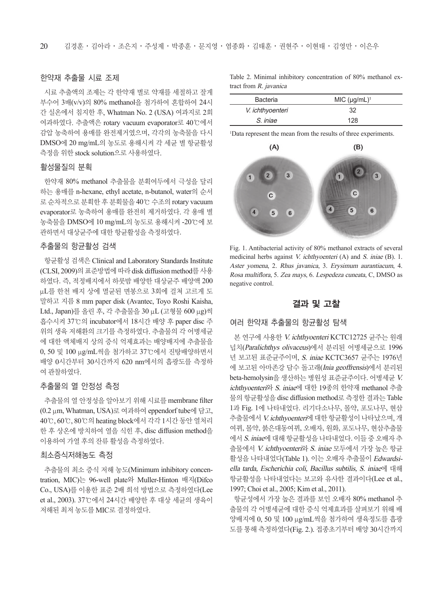## 한약재 추출물 시료 조제

시료 추출액의 조제는 각 한약재 별로 약재를 세절하고 잘게 부수어 3배(v/v)의 80% methanol을 첨가하여 혼합하여 24시 간 실온에서 침지한 후, Whatman No. 2 (USA) 여과지로 2회 여과하였다. 추출액은 rotary vacuum evaporator로 40℃에서 감압 농축하여 용매를 완전제거였으며, 각각의 농축물을 다시 DMSO에 20 mg/mL의 농도로 용해시켜 각 세균 별 항균활성 측정을 위한 stock solution으로 사용하였다.

# 활성물질의 분획

한약재 80% methanol 추출물을 분획여두에서 극성을 달리 하는 용매를 n-hexane, ethyl acetate, n-butanol, water의 순서 로 순차적으로 분획한 후 분획물을 40℃ 수조의 rotary vacuum evaporator로 농축하여 용매를 완전히 제거하였다. 각 용매 별 농축물을 DMSO에 10 mg/mL의 농도로 용해시켜 -20℃에 보 관하면서 대상균주에 대한 항균활성을 측정하였다.

# 추출물의 항균활성 검색

항균활성 검색은 Clinical and Laboratory Standards Institute (CLSI, 2009)의 표준방법에 따라 disk diffusion method를 사용 하였다. 즉, 적정배지에서 하룻밤 배양한 대상균주 배양액 200 μL를 한천 배지 상에 멸균된 면봉으로 3회에 걸쳐 고르게 도 말하고 지름 8 mm paper disk (Avantec, Toyo Roshi Kaisha, Ltd., Japan)를 올린 후, 각 추출물을 30 μL (고형물 600 μg)씩 흡수시켜 37℃의 incubator에서 18시간 배양 후 paper disc 주 위의 생육 저해환의 크기를 측정하였다. 추출물의 각 어병세균 에 대한 액체배지 상의 증식 억제효과는 배양배지에 추출물을 0, 50 및 100 μg/mL씩을 첨가하고 37℃에서 진탕배양하면서 배양 0시간부터 30시간까지 620 nm에서의 흡광도를 측정하 여 관찰하였다.

# 추출물의 열 안정성 측정

추출물의 열 안정성을 알아보기 위해 시료를 membrane filter (0.2 μm, Whatman, USA)로 여과하여 eppendorf tube에 담고, 40℃, 60℃, 80℃의 heating block에서 각각 1시간 동안 열처리 한 후 상온에 방치하여 열을 식힌 후, disc diffusion method을 이용하여 가열 후의 잔류 활성을 측정하였다.

### 최소증식저해농도 측정

추출물의 최소 증식 저해 농도(Minimum inhibitory concentration, MIC)는 96-well plate와 Muller-Hinton 배지(Difco Co., USA)를 이용한 표준 2배 희석 방법으로 측정하였다(Lee et al., 2003). 37℃에서 24시간 배양한 후 대상 세균의 생육이 저해된 최저 농도를 MIC로 결정하였다.

Table 2. Minimal inhibitory concentration of 80% methanol extract from R. javanica

| <b>Bacteria</b>  | MIC $(\mu g/mL)^1$ |  |
|------------------|--------------------|--|
| V. ichthyoenteri | 32                 |  |
| S. iniae         | 128                |  |

1 Data represent the mean from the results of three experiments.



2.5 Aster yomena, 2. Rhus javanica, 3. Erysimum aurantiacum, 4. negative control. Rosa multiflora, 5. Zea mays, 6. Lespedeza cuneata, C, DMSO as Fig. 1. Antibacterial activity of 80% methanol extracts of several medicinal herbs against V. ichthyoenteri (A) and S. iniae (B). 1.

# 결과 및 고찰

# 여러 한약재 추출물의 항균활성 탐색 ب<br>p.<br>p.

본 연구에 사용한 V. ichthyoenteri KCTC12725 균주는 원래 넙치(*Paralichthys olivaceus*)에서 분리된 어병세균으로 1996 년 보고된 표준균주이며, S. iniae KCTC3657 균주는 1976년 -<br>에 보고된 아마존강 담수 돌고래(*Inia geoffrensis*)에서 분리된 beta-hemolysin을 생산하는 병원성 표준균주이다. 어병세균 V. ichthyoenteri와 S. iniae에 대한 19종의 한약재 methanol 추출 물의 항균활성을 disc diffusion method로 측정한 결과는 Table 1과 Fig. 1에 나타내었다. 리기다소나무, 몰약, 포도나무, 현삼 (B) 추출물에서 V. ichthyoenteri에 대한 항균활성이 나타났으며, 개 2.0 여뀌, 몰약, 붉은대동여뀌, 오배자, 원화, 포도나무, 현삼추출물 1.5 에서 S. iniae에 대해 항균활성을 나타내었다. 이들 중 오배자 추 출물에서 *V. ichthyoenteri*와 *S. iniae* 모두에서 가장 높은 항균 활성을 나타내었다(Table 1). 이는 오배자 추출물이 Edwardsiella tarda, Escherichia coli, Bacillus subtilis, S. iniae에 대해 항균활성을 나타내었다는 보고와 유사한 결과이다(Lee et al., 1997; Choi et al., 2005; Kim et al., 2011). , 여<br>여<br><sub>한</sub>

항균성에서 가장 높은 결과를 보인 오배자 80% methanol 추 출물의 각 어병세균에 대한 증식 억제효과를 살펴보기 위해 배 양배지에 0, 50 및 100 μg/mL씩을 첨가하여 생육정도를 흡광 도를 통해 측정하였다(Fig. 2.). 접종초기부터 배양 30시간까지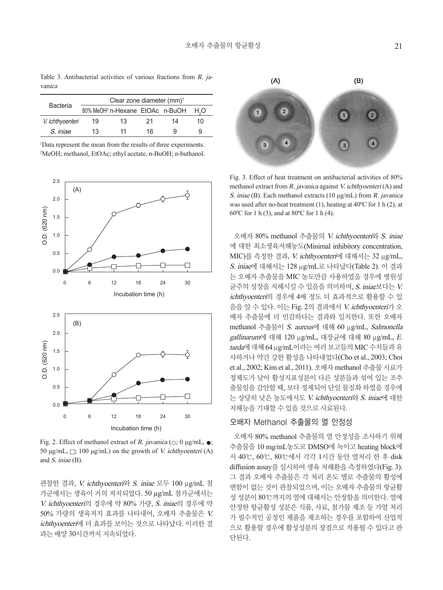Table 3. Antibacterial activities of various fractions from R. javanica

|                  | Clear zone diameter $(mm)^1$ |                                             |    |    |     |  |
|------------------|------------------------------|---------------------------------------------|----|----|-----|--|
| Bacteria         |                              | 80% MeOH <sup>2</sup> n-Hexane EtOAc n-BuOH |    |    |     |  |
| V. ichthyoenteri | 19                           | 13                                          | 21 | 14 | 10. |  |
| S. iniae         | 13                           | 11                                          | 16 |    | 9   |  |

1 Data represent the mean from the results of three experiments. 2 MeOH; methanol, EtOAc; ethyl acetate, n-BuOH; n-buthanol.



Fig. 2. Effect of methanol extract of R. javanica ( $\circ$ ; 0 μg/mL,  $\bullet$ ; 50 μg/mL,  $\Box$ ; 100 μg/mL) on the growth of *V. ichthyoenteri* (A) and S. iniae (B).

관찰한 결과, V. ichthyoenteri와 S. iniae 모두 100 μg/mL 첨 가군에서는 생육이 거의 저지되었다. 50 µg/mL 첨가군에서는 V. ichthyoenteri의 경우에 약 80% 가량, S. iniae의 경우에 약 50% 가량의 생육저지 효과를 나타내어, 오배자 추출물은 V. ichthyoenteri에 더 효과를 보이는 것으로 나타났다. 이러한 결 과는 배양 30시간까지 지속되었다.



Fig. 3. Effect of heat treatment on antibacterial activities of 80% methanol extract from R. javanica against V. ichthyoenteri (A) and S. iniae (B). Each methanol extracts (10 μg/mL) from R. javanica was used after no-heat treatment (1), heating at 40ºC for 1 h (2), at 60ºC for 1 h (3), and at 80ºC for 1 h (4).

오배자 80% methanol 추출물의 V. ichthyoenteri와 S. iniae 에 대한 최소생육저해농도(Minimal inhibitory concentration, MIC)를 측정한 결과, V. ichthyoenteri에 대해서는 32 μg/mL, S. iniae에 대해서는 128 μg/mL로 나타났다(Table 2). 이 결과 는 오배자 추출물을 MIC 농도만큼 사용하였을 경우에 병원성 균주의 성장을 저해시킬 수 있음을 의미하며, S. iniae보다는 V. ichthyoenteri의 경우에 4배 정도 더 효과적으로 활용할 수 있 음을 알 수 있다. 이는 Fig. 2의 결과에서 V. ichthyoenteri가 오 배자 추출물에 더 민감하다는 결과와 일치한다. 또한 오배자 methanol 추출물이 S. aureus에 대해 60 μg/mL, Salmonella gallinarum에 대해 120 μg/mL, 대장균에 대해 80 μg/mL, E. tarda에 대해 64 μg/mL이라는 여러 보고들의 MIC 수치들과 유 사하거나 약간 강한 활성을 나타내었다(Cho et al., 2003; Choi et al., 2002; Kim et al., 2011). 오배자 methanol 추출물 시료가 정제도가 낮아 활성지표성분이 다른 성분들과 섞여 있는 조추 출물임을 감안할 때, 보다 정제되어 단일 물질화 하였을 경우에 는 상당히 낮은 농도에서도 V. ichthyoenteri와 S. iniae에 대한 저해능을 기대할 수 있을 것으로 사료된다.

# 오배자 Methanol 추출물의 열 안정성

오배자 80% methanol 추출물의 열 안정성을 조사하기 위해 추출물을 10 mg/mL농도로 DMSO에 녹이고 heating block에 서 40℃, 60℃, 80℃에서 각각 1시간 동안 열처리 한 후 disk diffusion assay를 실시하여 생육 저해환을 측정하였다(Fig. 3). 그 결과 오배자 추출물은 각 처리 온도 별로 추출물의 활성에 변함이 없는 것이 관찰되었으며, 이는 오배자 추출물의 항균활 성 성분이 80℃까지의 열에 대해서는 안정함을 의미한다. 열에 안정한 항균활성 성분은 식품, 사료, 첨가물 제조 등 가열 처리 가 필수적인 공정인 제품을 제조하는 경우를 포함하여 산업적 으로 활용할 경우에 활성성분의 장점으로 적용될 수 있다고 판 단된다.